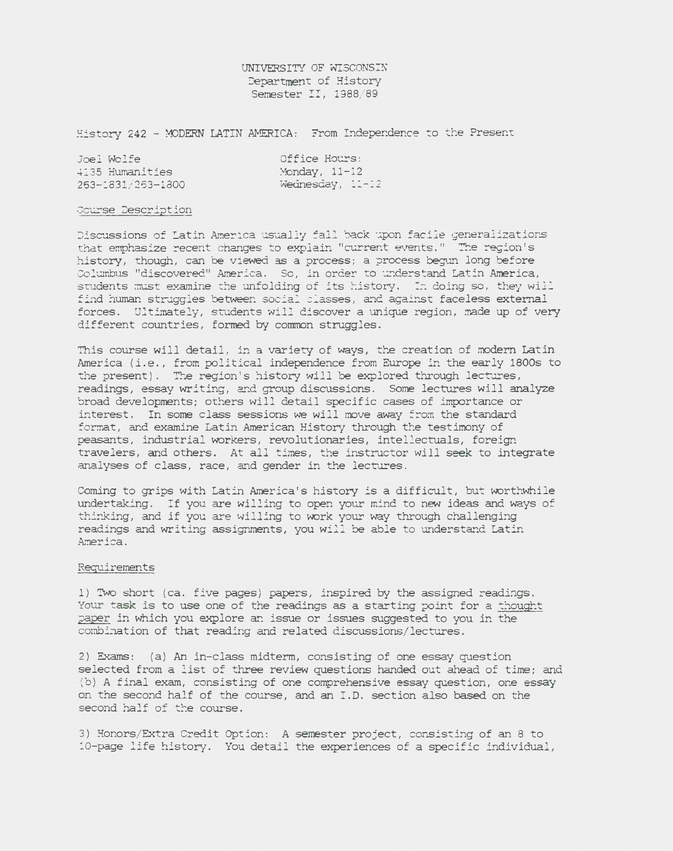UNIVERSITY OF WISCONSIN Department of History Semester II, 1988/89

History 242 - MODERN LATIN AMERICA: From Independence to the Present

| Joel Wolfe        | Office Hours:                               |
|-------------------|---------------------------------------------|
| 4135 Humanities   | Monday, $11-12$                             |
| 263-1831/263-1800 | $W\acute{e}\acute{a}nes\acute{d}ay$ , 11-12 |

## Course Description

Discussions of Latin America usually fall back upon facile generalizations that emphasize recent changes to explain "current events." The region's history, though, can be viewed as a process; a process begun long before Columbus "discovered" *America.* So, in order to understand Latin America, students must examine the unfolding of its history. In doing so, they will find human struggles between social classes, and against faceless external forces. Ultimately, students will discover a unique region, made up of very different countries, formed by common struggles.

This course will detail, in a variety of ways, the creation of modern Latin America *(i.e.,* from political independence from Europe in the early 1800s to the present). The region's history will be explored through lectures, readings, essay writing, and group discussions. Some lectures will analyze broad developments; others will detail specific cases of importance or interest. In some class sessions we will move away from the standard format, and examine Latin American History through the testimony of peasants, industrial workers, revolutionaries, intellectuals, foreign travelers, and others. At all times, the instructor will seek to integrate analyses of class, race, and gender in the lectures.

Coming to grips with Latin America's history is a difficult, but worthwhile undertaking. If you are willing to open your mind to new ideas and ways of thinking, and if you are willing to work your way through challenging readings and writing assignments, you will be able to understand Latin America.

## Requirements

1) Two short (ca. five pages) papers, inspired by the assigned readings. Your task is to use one of the readings as a starting point for a thought paper in which you explore an issue or issues suggested to you in the combination of that reading and related discussions/lectures.

2) Exams: (a) An in-class midterm, consisting of one essay question selected from a list of three review questions handed out ahead of time; and (b ) A final exam, consisting of one comprehensive essay question, one essay on the second half of the course, and an I.D. section also based on the second half of the course.

3) Honors/Extra Credit Option: A semester project, consisting of an 8 to 10-page life history. You detail the experiences of a specific individual,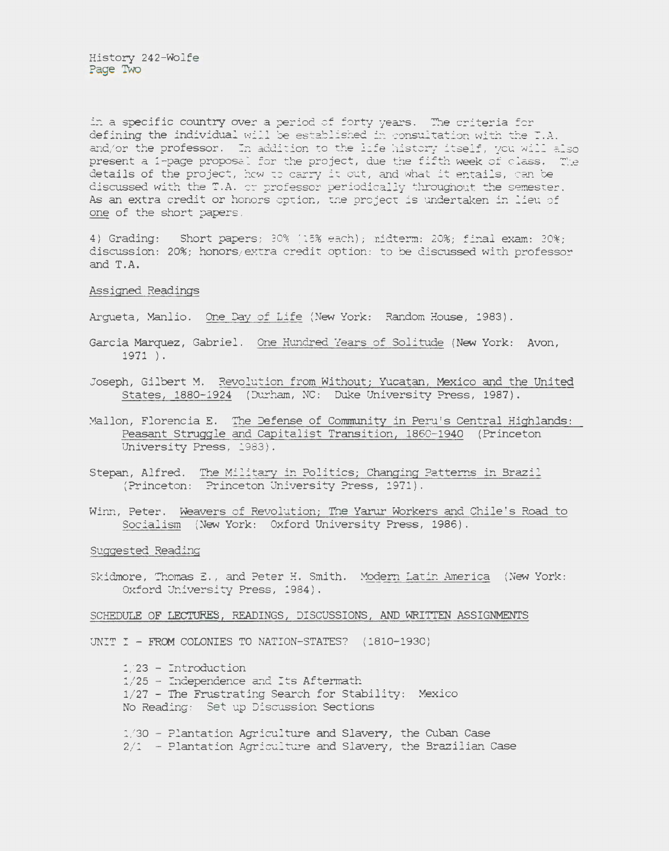in a specific country over a period of forty years. The criteria for defining the individual will be established in consultation with the  $T.A.$ and/or the professor. In addition to the life history itself, you will also present a 1-page proposal for the project, due the fifth week of class. The details of the project, how to carry it out, and what it entails, can be discussed with the T.A. or professor periodically throughout the semester. As an extra credit or honors option, the project is undertaken in lieu of one of the short papers.

4) Grading: Short papers; 30% (15% each); midterm: 20%; final exam: 30%; discussion: 20%; honors/ extra credit option : to be discussed with professor and T.A.

## Assigned Readings

Argueta, Manlio. One Day of Life (New York: Random House, 1983).

- Garcia Marquez, Gabriel. One Hundred Years of Solitude (New York: Avon, 1971 ).
- Joseph, Gilbert M. Revolution from Without; Yucatan, Mexico and the United States, 1880-1924 (Durham, NC: Duke University Press, 1987).
- Mallon, Florencia E. The Defense of Community in Peru's Central Highlands: Peasant Struggle and Capitalist Transition, 1860-1940 (Princeton University Press, 1983).
- Stepan, Alfred. The Military in Politics; Changing Patterns in Brazil (Princeton: Princeton University Press, 1971).
- Winn, Peter. Weavers of Revolution; The Yarur Workers and Chile's Road to Socialism (New York: Oxford University Press, 1986).

Suggested Reading

Skidmore, Thomas E., and Peter H. Smith. Modern Latin America (New York: Oxford University Press, 1984).

## SCHEDULE OF LECTURES, READINGS, DISCUSSIONS, AND WRITTEN ASSIGNMENTS

UNIT I - FROM COLONIES TO NATION-STATES? (1810-1930)

1/ 23 - Introduction  $1/25$  - Independence and Its Aftermath 1/27 - The Frustrating Search for Stability: Mexico No Reading: Set up Discussion Sections

1/ 30 - Plantation Agriculture and Slavery, the Cuban Case  $2/1$  - Plantation Agriculture and Slavery, the Brazilian Case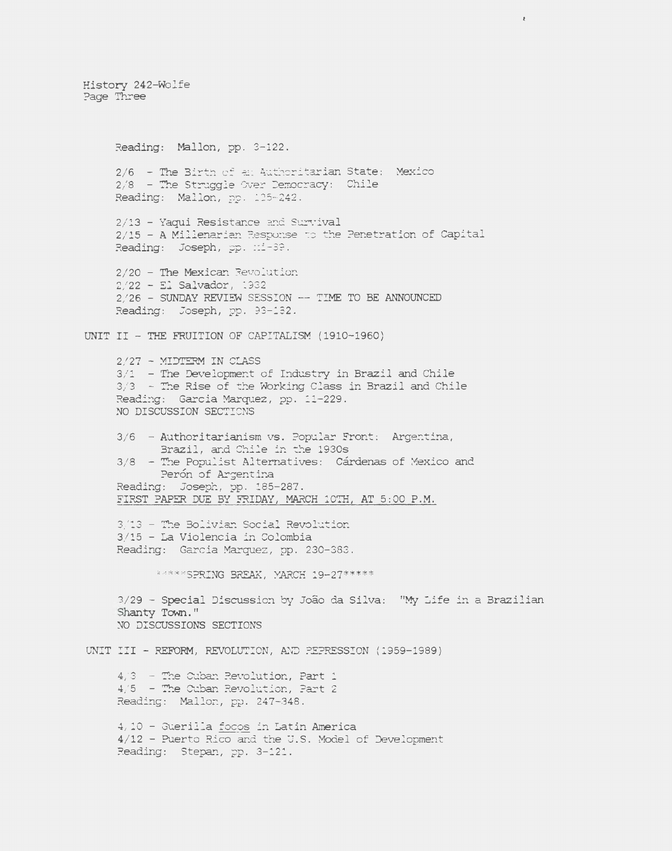History 242-Wolfe Page Three

Reading: Mallon, pp. 3-122. 2/6 - The Birth of an Authoritarian State: Mexico  $2/8$  - The Struggle Over Democracy: Chile Reading: Mallon, pp. 125-242. 2/13 - Yaqui Resistance and Survival 2/15 - A Millenarian Response to the Penetration of Capital Reading: Joseph, pp. :: 1-39. 2/20 - The Mexican Revolution  $2/22 - 51$  Salvador, 1932 2/26 - SUNDAY REVIEW SESSION -- TIME TO BE ANNOUNCED Reading: Joseph, pp. 93-132. UNIT II - THE FRUITION OF CAPITALISM (1910-1960)  $2/27$  - MIDTERM IN CLASS  $3/1$  - The Development of Industry in Brazil and Chile 3/3 - The Rise of the Working Class in Brazil and Chile Reading: Garcia Marquez, pp. 11-229. NO DISCUSSION SECTIONS 3/6 - Authoritarianism vs. Popular Front: Argentina, Brazil, and Chile in the 1930s 3/8 - The Populist Alternatives: Cárdenas of Mexico and Perón of Argentina Reading: Joseph, pp. 185-287. FIRST PAPER DUE BY FRIDAY, MARCH 10TH, AT 5:00 P.M. 3/13 - The Bolivian Social Revolution 3/15 - La Violencia in Colombia Reading: Garcia Marquez, pp. 230-383. \* \*\*\* \* SPRING BREAK, MARCH 19-27\*\*\*\*\* 3/29 - Special Discussion by João da Silva: "My Life in a Brazilian Shanty Town." NO DISCUSSIONS SECTIONS UNIT III - REFORM, REVOLUTION, AND PEPRESSION (1959-1989)  $4/3$  - The Cuban Revolution, Part 1  $4/5$  - The Cuban Revolution, Part 2 Reading: Mallon, pp. 247-348. 4, 10 - Guerilla focos in Latin America 4/12 - Puerto Rico and the U.S. Model of Development Reading: Stepan, pp. 3-121.

 $\bar{\ell}$